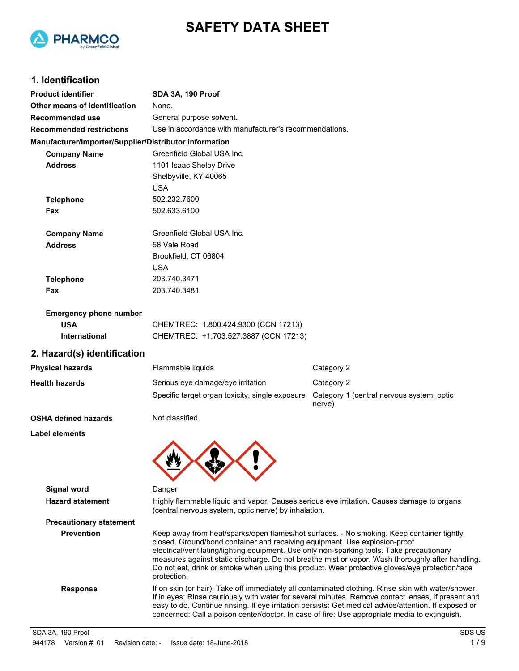



# **1. Identification**

| <b>Product identifier</b>                              | SDA 3A, 190 Proof                                                                                                                                                                                                                                                                                                                                                                                                                                                                          |                                                     |  |
|--------------------------------------------------------|--------------------------------------------------------------------------------------------------------------------------------------------------------------------------------------------------------------------------------------------------------------------------------------------------------------------------------------------------------------------------------------------------------------------------------------------------------------------------------------------|-----------------------------------------------------|--|
| Other means of identification                          | None.                                                                                                                                                                                                                                                                                                                                                                                                                                                                                      |                                                     |  |
| Recommended use                                        | General purpose solvent.                                                                                                                                                                                                                                                                                                                                                                                                                                                                   |                                                     |  |
| <b>Recommended restrictions</b>                        | Use in accordance with manufacturer's recommendations.                                                                                                                                                                                                                                                                                                                                                                                                                                     |                                                     |  |
| Manufacturer/Importer/Supplier/Distributor information |                                                                                                                                                                                                                                                                                                                                                                                                                                                                                            |                                                     |  |
| <b>Company Name</b>                                    | Greenfield Global USA Inc.                                                                                                                                                                                                                                                                                                                                                                                                                                                                 |                                                     |  |
| <b>Address</b>                                         | 1101 Isaac Shelby Drive                                                                                                                                                                                                                                                                                                                                                                                                                                                                    |                                                     |  |
|                                                        | Shelbyville, KY 40065                                                                                                                                                                                                                                                                                                                                                                                                                                                                      |                                                     |  |
|                                                        | <b>USA</b>                                                                                                                                                                                                                                                                                                                                                                                                                                                                                 |                                                     |  |
| <b>Telephone</b>                                       | 502.232.7600                                                                                                                                                                                                                                                                                                                                                                                                                                                                               |                                                     |  |
| Fax                                                    | 502.633.6100                                                                                                                                                                                                                                                                                                                                                                                                                                                                               |                                                     |  |
| <b>Company Name</b>                                    | Greenfield Global USA Inc.                                                                                                                                                                                                                                                                                                                                                                                                                                                                 |                                                     |  |
| <b>Address</b>                                         | 58 Vale Road                                                                                                                                                                                                                                                                                                                                                                                                                                                                               |                                                     |  |
|                                                        | Brookfield, CT 06804                                                                                                                                                                                                                                                                                                                                                                                                                                                                       |                                                     |  |
|                                                        | <b>USA</b>                                                                                                                                                                                                                                                                                                                                                                                                                                                                                 |                                                     |  |
| <b>Telephone</b>                                       | 203.740.3471                                                                                                                                                                                                                                                                                                                                                                                                                                                                               |                                                     |  |
| Fax                                                    | 203.740.3481                                                                                                                                                                                                                                                                                                                                                                                                                                                                               |                                                     |  |
| <b>Emergency phone number</b>                          |                                                                                                                                                                                                                                                                                                                                                                                                                                                                                            |                                                     |  |
| <b>USA</b>                                             | CHEMTREC: 1.800.424.9300 (CCN 17213)                                                                                                                                                                                                                                                                                                                                                                                                                                                       |                                                     |  |
| International                                          | CHEMTREC: +1.703.527.3887 (CCN 17213)                                                                                                                                                                                                                                                                                                                                                                                                                                                      |                                                     |  |
| 2. Hazard(s) identification                            |                                                                                                                                                                                                                                                                                                                                                                                                                                                                                            |                                                     |  |
| <b>Physical hazards</b>                                | Flammable liquids                                                                                                                                                                                                                                                                                                                                                                                                                                                                          | Category 2                                          |  |
| <b>Health hazards</b>                                  | Serious eye damage/eye irritation                                                                                                                                                                                                                                                                                                                                                                                                                                                          | Category 2                                          |  |
|                                                        | Specific target organ toxicity, single exposure                                                                                                                                                                                                                                                                                                                                                                                                                                            | Category 1 (central nervous system, optic<br>nerve) |  |
| <b>OSHA defined hazards</b>                            | Not classified.                                                                                                                                                                                                                                                                                                                                                                                                                                                                            |                                                     |  |
| Label elements                                         |                                                                                                                                                                                                                                                                                                                                                                                                                                                                                            |                                                     |  |
|                                                        |                                                                                                                                                                                                                                                                                                                                                                                                                                                                                            |                                                     |  |
| <b>Signal word</b>                                     | Danger                                                                                                                                                                                                                                                                                                                                                                                                                                                                                     |                                                     |  |
| <b>Hazard statement</b>                                |                                                                                                                                                                                                                                                                                                                                                                                                                                                                                            |                                                     |  |
|                                                        | Highly flammable liquid and vapor. Causes serious eye irritation. Causes damage to organs<br>(central nervous system, optic nerve) by inhalation.                                                                                                                                                                                                                                                                                                                                          |                                                     |  |
| <b>Precautionary statement</b>                         |                                                                                                                                                                                                                                                                                                                                                                                                                                                                                            |                                                     |  |
| <b>Prevention</b>                                      | Keep away from heat/sparks/open flames/hot surfaces. - No smoking. Keep container tightly<br>closed. Ground/bond container and receiving equipment. Use explosion-proof<br>electrical/ventilating/lighting equipment. Use only non-sparking tools. Take precautionary<br>measures against static discharge. Do not breathe mist or vapor. Wash thoroughly after handling.<br>Do not eat, drink or smoke when using this product. Wear protective gloves/eye protection/face<br>protection. |                                                     |  |
| <b>Response</b>                                        | If on skin (or hair): Take off immediately all contaminated clothing. Rinse skin with water/shower.<br>If in eyes: Rinse cautiously with water for several minutes. Remove contact lenses, if present and<br>easy to do. Continue rinsing. If eye irritation persists: Get medical advice/attention. If exposed or<br>concerned: Call a poison center/doctor. In case of fire: Use appropriate media to extinguish.                                                                        |                                                     |  |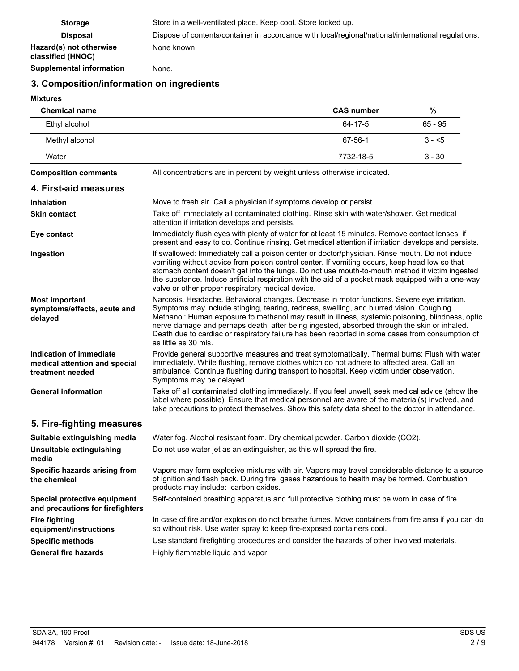| <b>Storage</b>                               | Store in a well-ventilated place. Keep cool. Store locked up.                                       |
|----------------------------------------------|-----------------------------------------------------------------------------------------------------|
| <b>Disposal</b>                              | Dispose of contents/container in accordance with local/regional/national/international regulations. |
| Hazard(s) not otherwise<br>classified (HNOC) | None known.                                                                                         |
| <b>Supplemental information</b>              | None.                                                                                               |

# **3. Composition/information on ingredients**

# **Mixtures**

| <b>Chemical name</b>                                                         |                                                                                                                                                                                                                                                                                                                                                                                                                                                                                                                       | <b>CAS number</b> | $\%$      |
|------------------------------------------------------------------------------|-----------------------------------------------------------------------------------------------------------------------------------------------------------------------------------------------------------------------------------------------------------------------------------------------------------------------------------------------------------------------------------------------------------------------------------------------------------------------------------------------------------------------|-------------------|-----------|
| Ethyl alcohol                                                                |                                                                                                                                                                                                                                                                                                                                                                                                                                                                                                                       | $64 - 17 - 5$     | $65 - 95$ |
| Methyl alcohol                                                               |                                                                                                                                                                                                                                                                                                                                                                                                                                                                                                                       | 67-56-1           | $3 - 5$   |
| Water                                                                        |                                                                                                                                                                                                                                                                                                                                                                                                                                                                                                                       | 7732-18-5         | $3 - 30$  |
| <b>Composition comments</b>                                                  | All concentrations are in percent by weight unless otherwise indicated.                                                                                                                                                                                                                                                                                                                                                                                                                                               |                   |           |
| 4. First-aid measures                                                        |                                                                                                                                                                                                                                                                                                                                                                                                                                                                                                                       |                   |           |
| <b>Inhalation</b>                                                            | Move to fresh air. Call a physician if symptoms develop or persist.                                                                                                                                                                                                                                                                                                                                                                                                                                                   |                   |           |
| <b>Skin contact</b>                                                          | Take off immediately all contaminated clothing. Rinse skin with water/shower. Get medical<br>attention if irritation develops and persists.                                                                                                                                                                                                                                                                                                                                                                           |                   |           |
| Eye contact                                                                  | Immediately flush eyes with plenty of water for at least 15 minutes. Remove contact lenses, if<br>present and easy to do. Continue rinsing. Get medical attention if irritation develops and persists.                                                                                                                                                                                                                                                                                                                |                   |           |
| Ingestion                                                                    | If swallowed: Immediately call a poison center or doctor/physician. Rinse mouth. Do not induce<br>vomiting without advice from poison control center. If vomiting occurs, keep head low so that<br>stomach content doesn't get into the lungs. Do not use mouth-to-mouth method if victim ingested<br>the substance. Induce artificial respiration with the aid of a pocket mask equipped with a one-way<br>valve or other proper respiratory medical device.                                                         |                   |           |
| <b>Most important</b><br>symptoms/effects, acute and<br>delayed              | Narcosis. Headache. Behavioral changes. Decrease in motor functions. Severe eye irritation.<br>Symptoms may include stinging, tearing, redness, swelling, and blurred vision. Coughing.<br>Methanol: Human exposure to methanol may result in illness, systemic poisoning, blindness, optic<br>nerve damage and perhaps death, after being ingested, absorbed through the skin or inhaled.<br>Death due to cardiac or respiratory failure has been reported in some cases from consumption of<br>as little as 30 mls. |                   |           |
| Indication of immediate<br>medical attention and special<br>treatment needed | Provide general supportive measures and treat symptomatically. Thermal burns: Flush with water<br>immediately. While flushing, remove clothes which do not adhere to affected area. Call an<br>ambulance. Continue flushing during transport to hospital. Keep victim under observation.<br>Symptoms may be delayed.                                                                                                                                                                                                  |                   |           |
| <b>General information</b>                                                   | Take off all contaminated clothing immediately. If you feel unwell, seek medical advice (show the<br>label where possible). Ensure that medical personnel are aware of the material(s) involved, and<br>take precautions to protect themselves. Show this safety data sheet to the doctor in attendance.                                                                                                                                                                                                              |                   |           |
| 5. Fire-fighting measures                                                    |                                                                                                                                                                                                                                                                                                                                                                                                                                                                                                                       |                   |           |
| Suitable extinguishing media                                                 | Water fog. Alcohol resistant foam. Dry chemical powder. Carbon dioxide (CO2).                                                                                                                                                                                                                                                                                                                                                                                                                                         |                   |           |
| Unsuitable extinguishing<br>media                                            | Do not use water jet as an extinguisher, as this will spread the fire.                                                                                                                                                                                                                                                                                                                                                                                                                                                |                   |           |
| Specific hazards arising from<br>the chemical                                | Vapors may form explosive mixtures with air. Vapors may travel considerable distance to a source<br>of ignition and flash back. During fire, gases hazardous to health may be formed. Combustion<br>products may include: carbon oxides.                                                                                                                                                                                                                                                                              |                   |           |
| Special protective equipment<br>and precautions for firefighters             | Self-contained breathing apparatus and full protective clothing must be worn in case of fire.                                                                                                                                                                                                                                                                                                                                                                                                                         |                   |           |
| <b>Fire fighting</b><br>equipment/instructions                               | In case of fire and/or explosion do not breathe fumes. Move containers from fire area if you can do<br>so without risk. Use water spray to keep fire-exposed containers cool.                                                                                                                                                                                                                                                                                                                                         |                   |           |
| <b>Specific methods</b>                                                      | Use standard firefighting procedures and consider the hazards of other involved materials.                                                                                                                                                                                                                                                                                                                                                                                                                            |                   |           |
| <b>General fire hazards</b>                                                  | Highly flammable liquid and vapor.                                                                                                                                                                                                                                                                                                                                                                                                                                                                                    |                   |           |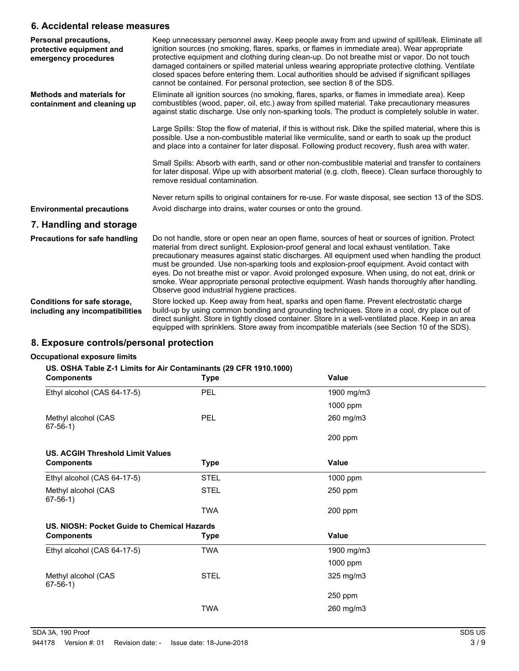## **6. Accidental release measures**

| Personal precautions,<br>protective equipment and<br>emergency procedures | Keep unnecessary personnel away. Keep people away from and upwind of spill/leak. Eliminate all<br>ignition sources (no smoking, flares, sparks, or flames in immediate area). Wear appropriate<br>protective equipment and clothing during clean-up. Do not breathe mist or vapor. Do not touch<br>damaged containers or spilled material unless wearing appropriate protective clothing. Ventilate<br>closed spaces before entering them. Local authorities should be advised if significant spillages<br>cannot be contained. For personal protection, see section 8 of the SDS.                                                             |
|---------------------------------------------------------------------------|------------------------------------------------------------------------------------------------------------------------------------------------------------------------------------------------------------------------------------------------------------------------------------------------------------------------------------------------------------------------------------------------------------------------------------------------------------------------------------------------------------------------------------------------------------------------------------------------------------------------------------------------|
| <b>Methods and materials for</b><br>containment and cleaning up           | Eliminate all ignition sources (no smoking, flares, sparks, or flames in immediate area). Keep<br>combustibles (wood, paper, oil, etc.) away from spilled material. Take precautionary measures<br>against static discharge. Use only non-sparking tools. The product is completely soluble in water.                                                                                                                                                                                                                                                                                                                                          |
|                                                                           | Large Spills: Stop the flow of material, if this is without risk. Dike the spilled material, where this is<br>possible. Use a non-combustible material like vermiculite, sand or earth to soak up the product<br>and place into a container for later disposal. Following product recovery, flush area with water.                                                                                                                                                                                                                                                                                                                             |
|                                                                           | Small Spills: Absorb with earth, sand or other non-combustible material and transfer to containers<br>for later disposal. Wipe up with absorbent material (e.g. cloth, fleece). Clean surface thoroughly to<br>remove residual contamination.                                                                                                                                                                                                                                                                                                                                                                                                  |
|                                                                           | Never return spills to original containers for re-use. For waste disposal, see section 13 of the SDS.                                                                                                                                                                                                                                                                                                                                                                                                                                                                                                                                          |
| <b>Environmental precautions</b>                                          | Avoid discharge into drains, water courses or onto the ground.                                                                                                                                                                                                                                                                                                                                                                                                                                                                                                                                                                                 |
| 7. Handling and storage                                                   |                                                                                                                                                                                                                                                                                                                                                                                                                                                                                                                                                                                                                                                |
| <b>Precautions for safe handling</b>                                      | Do not handle, store or open near an open flame, sources of heat or sources of ignition. Protect<br>material from direct sunlight. Explosion-proof general and local exhaust ventilation. Take<br>precautionary measures against static discharges. All equipment used when handling the product<br>must be grounded. Use non-sparking tools and explosion-proof equipment. Avoid contact with<br>eyes. Do not breathe mist or vapor. Avoid prolonged exposure. When using, do not eat, drink or<br>smoke. Wear appropriate personal protective equipment. Wash hands thoroughly after handling.<br>Observe good industrial hygiene practices. |
| Conditions for safe storage,<br>including any incompatibilities           | Store locked up. Keep away from heat, sparks and open flame. Prevent electrostatic charge<br>build-up by using common bonding and grounding techniques. Store in a cool, dry place out of<br>direct sunlight. Store in tightly closed container. Store in a well-ventilated place. Keep in an area<br>equipped with sprinklers. Store away from incompatible materials (see Section 10 of the SDS).                                                                                                                                                                                                                                            |

# **8. Exposure controls/personal protection**

### **Occupational exposure limits**

## **US. OSHA Table Z-1 Limits for Air Contaminants (29 CFR 1910.1000)**

| <b>Components</b>                           | <b>Type</b> | <b>Value</b> |  |
|---------------------------------------------|-------------|--------------|--|
| Ethyl alcohol (CAS 64-17-5)                 | <b>PEL</b>  | 1900 mg/m3   |  |
|                                             |             | 1000 ppm     |  |
| Methyl alcohol (CAS<br>$67-56-1)$           | <b>PEL</b>  | 260 mg/m3    |  |
|                                             |             | 200 ppm      |  |
| <b>US. ACGIH Threshold Limit Values</b>     |             |              |  |
| <b>Components</b>                           | <b>Type</b> | Value        |  |
| Ethyl alcohol (CAS 64-17-5)                 | <b>STEL</b> | 1000 ppm     |  |
| Methyl alcohol (CAS<br>$67-56-1)$           | <b>STEL</b> | 250 ppm      |  |
|                                             | <b>TWA</b>  | 200 ppm      |  |
| US. NIOSH: Pocket Guide to Chemical Hazards |             |              |  |
| <b>Components</b>                           | <b>Type</b> | Value        |  |
| Ethyl alcohol (CAS 64-17-5)                 | <b>TWA</b>  | 1900 mg/m3   |  |
|                                             |             | 1000 ppm     |  |
| Methyl alcohol (CAS<br>$67-56-1)$           | <b>STEL</b> | 325 mg/m3    |  |
|                                             |             | 250 ppm      |  |
|                                             | <b>TWA</b>  | 260 mg/m3    |  |
|                                             |             |              |  |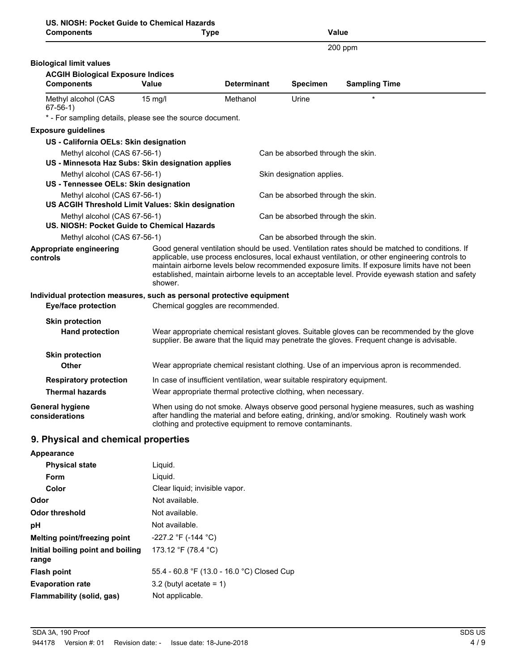| US. NIOSH: Pocket Guide to Chemical Hazards                                 |                                   |                                                                                                                                                                                                                                                                                                                                                                                                       |                                   |                                                                                          |
|-----------------------------------------------------------------------------|-----------------------------------|-------------------------------------------------------------------------------------------------------------------------------------------------------------------------------------------------------------------------------------------------------------------------------------------------------------------------------------------------------------------------------------------------------|-----------------------------------|------------------------------------------------------------------------------------------|
| <b>Components</b>                                                           |                                   | <b>Type</b>                                                                                                                                                                                                                                                                                                                                                                                           |                                   | Value                                                                                    |
|                                                                             |                                   |                                                                                                                                                                                                                                                                                                                                                                                                       |                                   | 200 ppm                                                                                  |
| <b>Biological limit values</b>                                              |                                   |                                                                                                                                                                                                                                                                                                                                                                                                       |                                   |                                                                                          |
| <b>ACGIH Biological Exposure Indices</b>                                    |                                   |                                                                                                                                                                                                                                                                                                                                                                                                       |                                   |                                                                                          |
| <b>Components</b>                                                           | <b>Value</b>                      | <b>Determinant</b>                                                                                                                                                                                                                                                                                                                                                                                    | Specimen                          | <b>Sampling Time</b>                                                                     |
| Methyl alcohol (CAS<br>$67-56-1)$                                           | $15 \text{ mg/l}$                 | Methanol                                                                                                                                                                                                                                                                                                                                                                                              | Urine                             |                                                                                          |
| * - For sampling details, please see the source document.                   |                                   |                                                                                                                                                                                                                                                                                                                                                                                                       |                                   |                                                                                          |
| <b>Exposure guidelines</b>                                                  |                                   |                                                                                                                                                                                                                                                                                                                                                                                                       |                                   |                                                                                          |
| US - California OELs: Skin designation                                      |                                   |                                                                                                                                                                                                                                                                                                                                                                                                       |                                   |                                                                                          |
| Methyl alcohol (CAS 67-56-1)                                                |                                   |                                                                                                                                                                                                                                                                                                                                                                                                       | Can be absorbed through the skin. |                                                                                          |
| US - Minnesota Haz Subs: Skin designation applies                           |                                   |                                                                                                                                                                                                                                                                                                                                                                                                       |                                   |                                                                                          |
| Methyl alcohol (CAS 67-56-1)                                                |                                   |                                                                                                                                                                                                                                                                                                                                                                                                       | Skin designation applies.         |                                                                                          |
| US - Tennessee OELs: Skin designation                                       |                                   |                                                                                                                                                                                                                                                                                                                                                                                                       |                                   |                                                                                          |
| Methyl alcohol (CAS 67-56-1)                                                |                                   |                                                                                                                                                                                                                                                                                                                                                                                                       | Can be absorbed through the skin. |                                                                                          |
| US ACGIH Threshold Limit Values: Skin designation                           |                                   |                                                                                                                                                                                                                                                                                                                                                                                                       |                                   |                                                                                          |
| Methyl alcohol (CAS 67-56-1)<br>US. NIOSH: Pocket Guide to Chemical Hazards |                                   |                                                                                                                                                                                                                                                                                                                                                                                                       | Can be absorbed through the skin. |                                                                                          |
| Methyl alcohol (CAS 67-56-1)                                                |                                   |                                                                                                                                                                                                                                                                                                                                                                                                       | Can be absorbed through the skin. |                                                                                          |
| Appropriate engineering<br>controls                                         | shower.                           | Good general ventilation should be used. Ventilation rates should be matched to conditions. If<br>applicable, use process enclosures, local exhaust ventilation, or other engineering controls to<br>maintain airborne levels below recommended exposure limits. If exposure limits have not been<br>established, maintain airborne levels to an acceptable level. Provide eyewash station and safety |                                   |                                                                                          |
| Individual protection measures, such as personal protective equipment       |                                   |                                                                                                                                                                                                                                                                                                                                                                                                       |                                   |                                                                                          |
| <b>Eye/face protection</b>                                                  | Chemical goggles are recommended. |                                                                                                                                                                                                                                                                                                                                                                                                       |                                   |                                                                                          |
|                                                                             |                                   |                                                                                                                                                                                                                                                                                                                                                                                                       |                                   |                                                                                          |
| <b>Skin protection</b><br><b>Hand protection</b>                            |                                   | Wear appropriate chemical resistant gloves. Suitable gloves can be recommended by the glove<br>supplier. Be aware that the liquid may penetrate the gloves. Frequent change is advisable.                                                                                                                                                                                                             |                                   |                                                                                          |
| <b>Skin protection</b>                                                      |                                   |                                                                                                                                                                                                                                                                                                                                                                                                       |                                   |                                                                                          |
| <b>Other</b>                                                                |                                   |                                                                                                                                                                                                                                                                                                                                                                                                       |                                   | Wear appropriate chemical resistant clothing. Use of an impervious apron is recommended. |
| <b>Respiratory protection</b>                                               |                                   | In case of insufficient ventilation, wear suitable respiratory equipment.                                                                                                                                                                                                                                                                                                                             |                                   |                                                                                          |
| <b>Thermal hazards</b>                                                      |                                   | Wear appropriate thermal protective clothing, when necessary.                                                                                                                                                                                                                                                                                                                                         |                                   |                                                                                          |
| <b>General hygiene</b><br>considerations                                    |                                   | When using do not smoke. Always observe good personal hygiene measures, such as washing<br>after handling the material and before eating, drinking, and/or smoking. Routinely wash work<br>clothing and protective equipment to remove contaminants.                                                                                                                                                  |                                   |                                                                                          |
| 9. Physical and chemical properties                                         |                                   |                                                                                                                                                                                                                                                                                                                                                                                                       |                                   |                                                                                          |
|                                                                             |                                   |                                                                                                                                                                                                                                                                                                                                                                                                       |                                   |                                                                                          |

| Appearance                                 |                                            |
|--------------------------------------------|--------------------------------------------|
| <b>Physical state</b>                      | Liguid.                                    |
| Form                                       | Liquid.                                    |
| Color                                      | Clear liquid; invisible vapor.             |
| Odor                                       | Not available.                             |
| <b>Odor threshold</b>                      | Not available.                             |
| рH                                         | Not available.                             |
| Melting point/freezing point               | $-227.2$ °F (-144 °C)                      |
| Initial boiling point and boiling<br>range | 173.12 °F (78.4 °C)                        |
| <b>Flash point</b>                         | 55.4 - 60.8 °F (13.0 - 16.0 °C) Closed Cup |
| <b>Evaporation rate</b>                    | $3.2$ (butyl acetate = 1)                  |
| Flammability (solid, gas)                  | Not applicable.                            |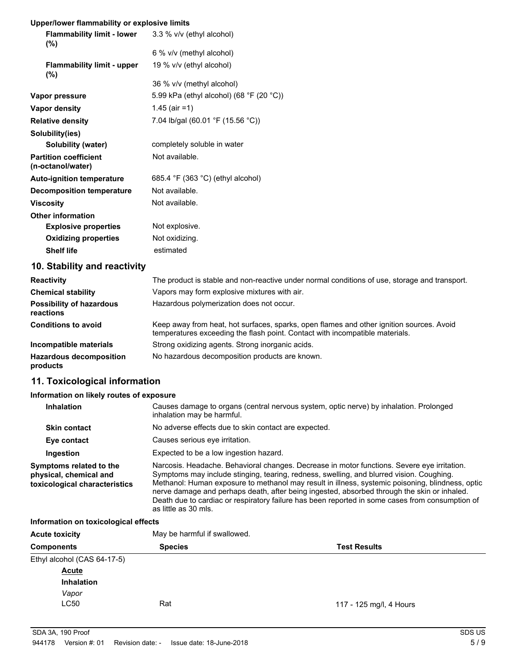## **Upper/lower flammability or explosive limits**

| <b>Flammability limit - lower</b><br>$(\%)$       | 3.3 % v/v (ethyl alcohol)                                                                     |
|---------------------------------------------------|-----------------------------------------------------------------------------------------------|
|                                                   | 6 % v/v (methyl alcohol)                                                                      |
| <b>Flammability limit - upper</b><br>(%)          | 19 % v/v (ethyl alcohol)                                                                      |
|                                                   | 36 % v/v (methyl alcohol)                                                                     |
| Vapor pressure                                    | 5.99 kPa (ethyl alcohol) (68 °F (20 °C))                                                      |
| Vapor density                                     | $1.45$ (air = 1)                                                                              |
| <b>Relative density</b>                           | 7.04 lb/gal (60.01 °F (15.56 °C))                                                             |
| Solubility(ies)                                   |                                                                                               |
| Solubility (water)                                | completely soluble in water                                                                   |
| <b>Partition coefficient</b><br>(n-octanol/water) | Not available.                                                                                |
| <b>Auto-ignition temperature</b>                  | 685.4 °F (363 °C) (ethyl alcohol)                                                             |
| <b>Decomposition temperature</b>                  | Not available.                                                                                |
| <b>Viscosity</b>                                  | Not available.                                                                                |
| <b>Other information</b>                          |                                                                                               |
| <b>Explosive properties</b>                       | Not explosive.                                                                                |
| <b>Oxidizing properties</b>                       | Not oxidizing.                                                                                |
| <b>Shelf life</b>                                 | estimated                                                                                     |
| 10. Stability and reactivity                      |                                                                                               |
| <b>Reactivity</b>                                 | The product is stable and non-reactive under normal conditions of use, storage and transport. |
| <b>Chemical stability</b>                         | Vapors may form explosive mixtures with air.                                                  |
| <b>Possibility of hazardous</b><br>reactions      | Hazardous polymerization does not occur.                                                      |

Keep away from heat, hot surfaces, sparks, open flames and other ignition sources. Avoid temperatures exceeding the flash point. Contact with incompatible materials. **Conditions to avoid Incompatible materials** Strong oxidizing agents. Strong inorganic acids. **Hazardous decomposition** No hazardous decomposition products are known. **products**

# **11. Toxicological information**

#### **Information on likely routes of exposure**

| <b>Inhalation</b>                                                                  | Causes damage to organs (central nervous system, optic nerve) by inhalation. Prolonged<br>inhalation may be harmful.                                                                                                                                                                                                                                                                                                                                                                                                  |
|------------------------------------------------------------------------------------|-----------------------------------------------------------------------------------------------------------------------------------------------------------------------------------------------------------------------------------------------------------------------------------------------------------------------------------------------------------------------------------------------------------------------------------------------------------------------------------------------------------------------|
| <b>Skin contact</b>                                                                | No adverse effects due to skin contact are expected.                                                                                                                                                                                                                                                                                                                                                                                                                                                                  |
| Eye contact                                                                        | Causes serious eye irritation.                                                                                                                                                                                                                                                                                                                                                                                                                                                                                        |
| Ingestion                                                                          | Expected to be a low ingestion hazard.                                                                                                                                                                                                                                                                                                                                                                                                                                                                                |
| Symptoms related to the<br>physical, chemical and<br>toxicological characteristics | Narcosis. Headache. Behavioral changes. Decrease in motor functions. Severe eye irritation.<br>Symptoms may include stinging, tearing, redness, swelling, and blurred vision. Coughing.<br>Methanol: Human exposure to methanol may result in illness, systemic poisoning, blindness, optic<br>nerve damage and perhaps death, after being ingested, absorbed through the skin or inhaled.<br>Death due to cardiac or respiratory failure has been reported in some cases from consumption of<br>as little as 30 mls. |

#### **Information on toxicological effects**

| <b>Acute toxicity</b>       | May be harmful if swallowed.          |                         |  |
|-----------------------------|---------------------------------------|-------------------------|--|
| <b>Components</b>           | <b>Species</b><br><b>Test Results</b> |                         |  |
| Ethyl alcohol (CAS 64-17-5) |                                       |                         |  |
| <b>Acute</b>                |                                       |                         |  |
| <b>Inhalation</b>           |                                       |                         |  |
| Vapor                       |                                       |                         |  |
| <b>LC50</b>                 | Rat                                   | 117 - 125 mg/l, 4 Hours |  |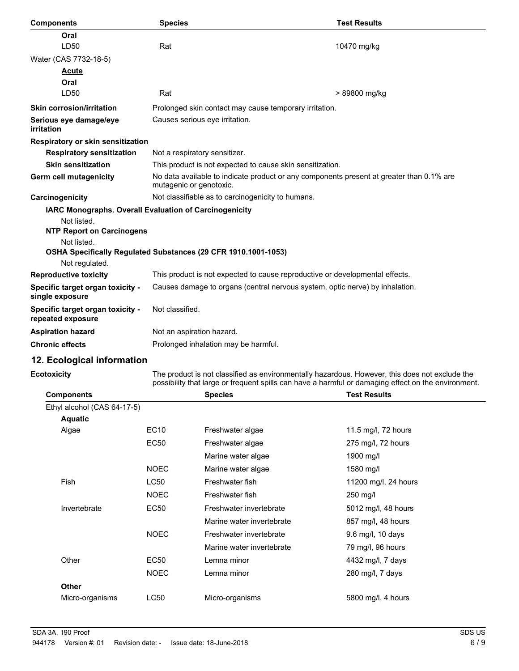| <b>Components</b>                                     | <b>Species</b>                                                                                                      | <b>Test Results</b> |  |
|-------------------------------------------------------|---------------------------------------------------------------------------------------------------------------------|---------------------|--|
| Oral                                                  |                                                                                                                     |                     |  |
| LD50                                                  | Rat                                                                                                                 | 10470 mg/kg         |  |
| Water (CAS 7732-18-5)                                 |                                                                                                                     |                     |  |
| <b>Acute</b>                                          |                                                                                                                     |                     |  |
| Oral                                                  |                                                                                                                     |                     |  |
| LD <sub>50</sub>                                      | Rat                                                                                                                 | > 89800 mg/kg       |  |
| <b>Skin corrosion/irritation</b>                      | Prolonged skin contact may cause temporary irritation.                                                              |                     |  |
| Serious eye damage/eye<br>irritation                  | Causes serious eye irritation.                                                                                      |                     |  |
| Respiratory or skin sensitization                     |                                                                                                                     |                     |  |
| <b>Respiratory sensitization</b>                      | Not a respiratory sensitizer.                                                                                       |                     |  |
| <b>Skin sensitization</b>                             | This product is not expected to cause skin sensitization.                                                           |                     |  |
| Germ cell mutagenicity                                | No data available to indicate product or any components present at greater than 0.1% are<br>mutagenic or genotoxic. |                     |  |
| Carcinogenicity                                       | Not classifiable as to carcinogenicity to humans.                                                                   |                     |  |
|                                                       | IARC Monographs. Overall Evaluation of Carcinogenicity                                                              |                     |  |
| Not listed.                                           |                                                                                                                     |                     |  |
| <b>NTP Report on Carcinogens</b>                      |                                                                                                                     |                     |  |
| Not listed.                                           | OSHA Specifically Regulated Substances (29 CFR 1910.1001-1053)                                                      |                     |  |
| Not regulated.                                        |                                                                                                                     |                     |  |
| <b>Reproductive toxicity</b>                          | This product is not expected to cause reproductive or developmental effects.                                        |                     |  |
| Specific target organ toxicity -<br>single exposure   | Causes damage to organs (central nervous system, optic nerve) by inhalation.                                        |                     |  |
| Specific target organ toxicity -<br>repeated exposure | Not classified.                                                                                                     |                     |  |
| <b>Aspiration hazard</b>                              | Not an aspiration hazard.                                                                                           |                     |  |
| <b>Chronic effects</b>                                | Prolonged inhalation may be harmful.                                                                                |                     |  |
|                                                       |                                                                                                                     |                     |  |

# **12. Ecological information**

### **Ecotoxicity**

The product is not classified as environmentally hazardous. However, this does not exclude the possibility that large or frequent spills can have a harmful or damaging effect on the environment.

| <b>Components</b>           |             | <b>Species</b>            | <b>Test Results</b>  |
|-----------------------------|-------------|---------------------------|----------------------|
| Ethyl alcohol (CAS 64-17-5) |             |                           |                      |
| <b>Aquatic</b>              |             |                           |                      |
| Algae                       | EC10        | Freshwater algae          | 11.5 mg/l, 72 hours  |
|                             | <b>EC50</b> | Freshwater algae          | 275 mg/l, 72 hours   |
|                             |             | Marine water algae        | 1900 mg/l            |
|                             | <b>NOEC</b> | Marine water algae        | 1580 mg/l            |
| <b>Fish</b>                 | <b>LC50</b> | Freshwater fish           | 11200 mg/l, 24 hours |
|                             | <b>NOEC</b> | Freshwater fish           | 250 mg/l             |
| Invertebrate                | <b>EC50</b> | Freshwater invertebrate   | 5012 mg/l, 48 hours  |
|                             |             | Marine water invertebrate | 857 mg/l, 48 hours   |
|                             | <b>NOEC</b> | Freshwater invertebrate   | 9.6 mg/l, 10 days    |
|                             |             | Marine water invertebrate | 79 mg/l, 96 hours    |
| Other                       | EC50        | Lemna minor               | 4432 mg/l, 7 days    |
|                             | <b>NOEC</b> | Lemna minor               | 280 mg/l, 7 days     |
| <b>Other</b>                |             |                           |                      |
| Micro-organisms             | LC50        | Micro-organisms           | 5800 mg/l, 4 hours   |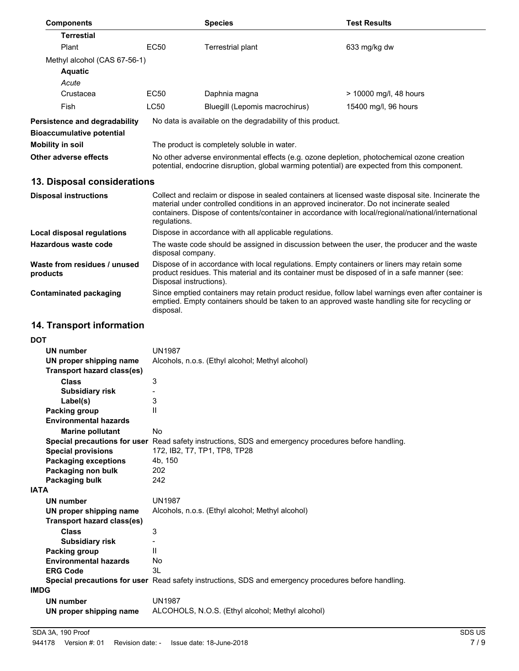| <b>Components</b>                        |                                                                                                                                                                                                                                                                                                                        | <b>Species</b>                                             | <b>Test Results</b>    |
|------------------------------------------|------------------------------------------------------------------------------------------------------------------------------------------------------------------------------------------------------------------------------------------------------------------------------------------------------------------------|------------------------------------------------------------|------------------------|
| <b>Terrestial</b>                        |                                                                                                                                                                                                                                                                                                                        |                                                            |                        |
| Plant                                    | <b>EC50</b>                                                                                                                                                                                                                                                                                                            | Terrestrial plant                                          | 633 mg/kg dw           |
| Methyl alcohol (CAS 67-56-1)             |                                                                                                                                                                                                                                                                                                                        |                                                            |                        |
| <b>Aquatic</b>                           |                                                                                                                                                                                                                                                                                                                        |                                                            |                        |
| Acute                                    |                                                                                                                                                                                                                                                                                                                        |                                                            |                        |
| Crustacea                                | <b>EC50</b>                                                                                                                                                                                                                                                                                                            | Daphnia magna                                              | > 10000 mg/l, 48 hours |
| Fish                                     | LC50                                                                                                                                                                                                                                                                                                                   | Bluegill (Lepomis macrochirus)                             | 15400 mg/l, 96 hours   |
| Persistence and degradability            |                                                                                                                                                                                                                                                                                                                        | No data is available on the degradability of this product. |                        |
| <b>Bioaccumulative potential</b>         |                                                                                                                                                                                                                                                                                                                        |                                                            |                        |
| <b>Mobility in soil</b>                  |                                                                                                                                                                                                                                                                                                                        | The product is completely soluble in water.                |                        |
| Other adverse effects                    | No other adverse environmental effects (e.g. ozone depletion, photochemical ozone creation<br>potential, endocrine disruption, global warming potential) are expected from this component.                                                                                                                             |                                                            |                        |
| 13. Disposal considerations              |                                                                                                                                                                                                                                                                                                                        |                                                            |                        |
| <b>Disposal instructions</b>             | Collect and reclaim or dispose in sealed containers at licensed waste disposal site. Incinerate the<br>material under controlled conditions in an approved incinerator. Do not incinerate sealed<br>containers. Dispose of contents/container in accordance with local/regional/national/international<br>regulations. |                                                            |                        |
| <b>Local disposal regulations</b>        | Dispose in accordance with all applicable regulations.                                                                                                                                                                                                                                                                 |                                                            |                        |
| <b>Hazardous waste code</b>              | The waste code should be assigned in discussion between the user, the producer and the waste<br>disposal company.                                                                                                                                                                                                      |                                                            |                        |
| Waste from residues / unused<br>products | Dispose of in accordance with local regulations. Empty containers or liners may retain some<br>product residues. This material and its container must be disposed of in a safe manner (see:<br>Disposal instructions).                                                                                                 |                                                            |                        |
| <b>Contaminated packaging</b>            | Since emptied containers may retain product residue, follow label warnings even after container is<br>emptied. Empty containers should be taken to an approved waste handling site for recycling or<br>disposal.                                                                                                       |                                                            |                        |
| <b>14. Transport information</b>         |                                                                                                                                                                                                                                                                                                                        |                                                            |                        |

# **14. Transport information**

| וטע         |                                   |                                                                                                      |
|-------------|-----------------------------------|------------------------------------------------------------------------------------------------------|
|             | <b>UN number</b>                  | <b>UN1987</b>                                                                                        |
|             | UN proper shipping name           | Alcohols, n.o.s. (Ethyl alcohol; Methyl alcohol)                                                     |
|             | <b>Transport hazard class(es)</b> |                                                                                                      |
|             | <b>Class</b>                      | 3                                                                                                    |
|             | <b>Subsidiary risk</b>            |                                                                                                      |
|             | Label(s)                          | 3                                                                                                    |
|             | <b>Packing group</b>              | $\mathbf{H}$                                                                                         |
|             | <b>Environmental hazards</b>      |                                                                                                      |
|             | <b>Marine pollutant</b>           | <b>No</b>                                                                                            |
|             |                                   | Special precautions for user Read safety instructions, SDS and emergency procedures before handling. |
|             | <b>Special provisions</b>         | 172, IB2, T7, TP1, TP8, TP28                                                                         |
|             | <b>Packaging exceptions</b>       | 4b, 150                                                                                              |
|             | Packaging non bulk                | 202                                                                                                  |
|             | Packaging bulk                    | 242                                                                                                  |
| <b>IATA</b> |                                   |                                                                                                      |
|             | <b>UN number</b>                  | <b>UN1987</b>                                                                                        |
|             | UN proper shipping name           | Alcohols, n.o.s. (Ethyl alcohol; Methyl alcohol)                                                     |
|             | Transport hazard class(es)        |                                                                                                      |
|             | <b>Class</b>                      | 3                                                                                                    |
|             | <b>Subsidiary risk</b>            |                                                                                                      |
|             | Packing group                     | $\mathbf{H}$                                                                                         |
|             | <b>Environmental hazards</b>      | <b>No</b>                                                                                            |
|             | <b>ERG Code</b>                   | 3L                                                                                                   |
|             |                                   | Special precautions for user Read safety instructions, SDS and emergency procedures before handling. |
| <b>IMDG</b> |                                   |                                                                                                      |
|             | <b>UN number</b>                  | <b>UN1987</b>                                                                                        |
|             | UN proper shipping name           | ALCOHOLS, N.O.S. (Ethyl alcohol; Methyl alcohol)                                                     |
|             |                                   |                                                                                                      |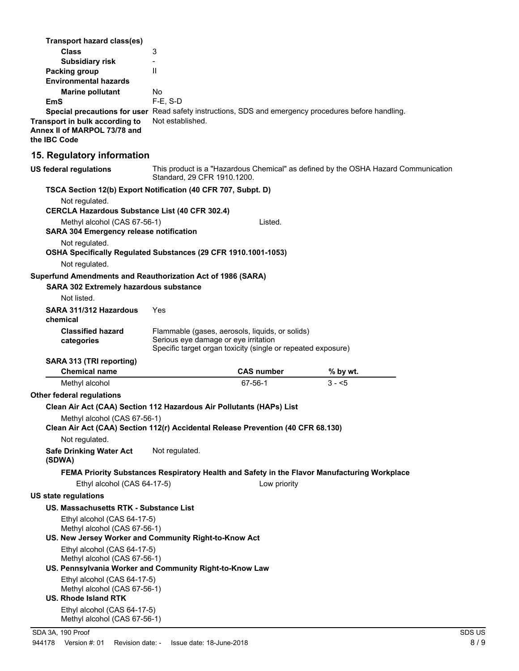| Transport hazard class(es)                                                                                       |                                      |                                                                                                                 |                                                                                              |        |
|------------------------------------------------------------------------------------------------------------------|--------------------------------------|-----------------------------------------------------------------------------------------------------------------|----------------------------------------------------------------------------------------------|--------|
| <b>Class</b>                                                                                                     | 3                                    |                                                                                                                 |                                                                                              |        |
| <b>Subsidiary risk</b>                                                                                           |                                      |                                                                                                                 |                                                                                              |        |
| <b>Packing group</b><br><b>Environmental hazards</b>                                                             | $\mathbf{H}$                         |                                                                                                                 |                                                                                              |        |
| <b>Marine pollutant</b>                                                                                          | No.                                  |                                                                                                                 |                                                                                              |        |
| EmS                                                                                                              | $F-E$ , S-D                          |                                                                                                                 |                                                                                              |        |
| Special precautions for user Read safety instructions, SDS and emergency procedures before handling.             | Not established.                     |                                                                                                                 |                                                                                              |        |
| Transport in bulk according to<br>Annex II of MARPOL 73/78 and<br>the IBC Code                                   |                                      |                                                                                                                 |                                                                                              |        |
| 15. Regulatory information                                                                                       |                                      |                                                                                                                 |                                                                                              |        |
| US federal regulations                                                                                           | Standard, 29 CFR 1910.1200.          |                                                                                                                 | This product is a "Hazardous Chemical" as defined by the OSHA Hazard Communication           |        |
| TSCA Section 12(b) Export Notification (40 CFR 707, Subpt. D)                                                    |                                      |                                                                                                                 |                                                                                              |        |
| Not regulated.<br><b>CERCLA Hazardous Substance List (40 CFR 302.4)</b>                                          |                                      |                                                                                                                 |                                                                                              |        |
| Methyl alcohol (CAS 67-56-1)<br><b>SARA 304 Emergency release notification</b>                                   |                                      | Listed.                                                                                                         |                                                                                              |        |
| Not regulated.                                                                                                   |                                      |                                                                                                                 |                                                                                              |        |
| OSHA Specifically Regulated Substances (29 CFR 1910.1001-1053)                                                   |                                      |                                                                                                                 |                                                                                              |        |
| Not regulated.                                                                                                   |                                      |                                                                                                                 |                                                                                              |        |
| Superfund Amendments and Reauthorization Act of 1986 (SARA)                                                      |                                      |                                                                                                                 |                                                                                              |        |
| <b>SARA 302 Extremely hazardous substance</b>                                                                    |                                      |                                                                                                                 |                                                                                              |        |
| Not listed.                                                                                                      |                                      |                                                                                                                 |                                                                                              |        |
| SARA 311/312 Hazardous<br>chemical                                                                               | Yes                                  |                                                                                                                 |                                                                                              |        |
| <b>Classified hazard</b><br>categories                                                                           | Serious eye damage or eye irritation | Flammable (gases, aerosols, liquids, or solids)<br>Specific target organ toxicity (single or repeated exposure) |                                                                                              |        |
| SARA 313 (TRI reporting)                                                                                         |                                      |                                                                                                                 |                                                                                              |        |
| <b>Chemical name</b>                                                                                             |                                      | <b>CAS number</b>                                                                                               | % by wt.                                                                                     |        |
| Methyl alcohol                                                                                                   |                                      | 67-56-1                                                                                                         | $3 - 5$                                                                                      |        |
| Other federal regulations                                                                                        |                                      |                                                                                                                 |                                                                                              |        |
| Clean Air Act (CAA) Section 112 Hazardous Air Pollutants (HAPs) List                                             |                                      |                                                                                                                 |                                                                                              |        |
| Methyl alcohol (CAS 67-56-1)<br>Clean Air Act (CAA) Section 112(r) Accidental Release Prevention (40 CFR 68.130) |                                      |                                                                                                                 |                                                                                              |        |
| Not regulated.                                                                                                   |                                      |                                                                                                                 |                                                                                              |        |
| <b>Safe Drinking Water Act</b><br>(SDWA)                                                                         | Not regulated.                       |                                                                                                                 |                                                                                              |        |
|                                                                                                                  |                                      |                                                                                                                 | FEMA Priority Substances Respiratory Health and Safety in the Flavor Manufacturing Workplace |        |
| Ethyl alcohol (CAS 64-17-5)                                                                                      |                                      | Low priority                                                                                                    |                                                                                              |        |
| <b>US state regulations</b>                                                                                      |                                      |                                                                                                                 |                                                                                              |        |
| US. Massachusetts RTK - Substance List                                                                           |                                      |                                                                                                                 |                                                                                              |        |
| Ethyl alcohol (CAS 64-17-5)                                                                                      |                                      |                                                                                                                 |                                                                                              |        |
| Methyl alcohol (CAS 67-56-1)<br>US. New Jersey Worker and Community Right-to-Know Act                            |                                      |                                                                                                                 |                                                                                              |        |
| Ethyl alcohol (CAS 64-17-5)                                                                                      |                                      |                                                                                                                 |                                                                                              |        |
| Methyl alcohol (CAS 67-56-1)<br>US. Pennsylvania Worker and Community Right-to-Know Law                          |                                      |                                                                                                                 |                                                                                              |        |
| Ethyl alcohol (CAS 64-17-5)                                                                                      |                                      |                                                                                                                 |                                                                                              |        |
| Methyl alcohol (CAS 67-56-1)                                                                                     |                                      |                                                                                                                 |                                                                                              |        |
| US. Rhode Island RTK                                                                                             |                                      |                                                                                                                 |                                                                                              |        |
| Ethyl alcohol (CAS 64-17-5)<br>Methyl alcohol (CAS 67-56-1)                                                      |                                      |                                                                                                                 |                                                                                              |        |
| SDA 3A, 190 Proof                                                                                                |                                      |                                                                                                                 |                                                                                              | SDS US |